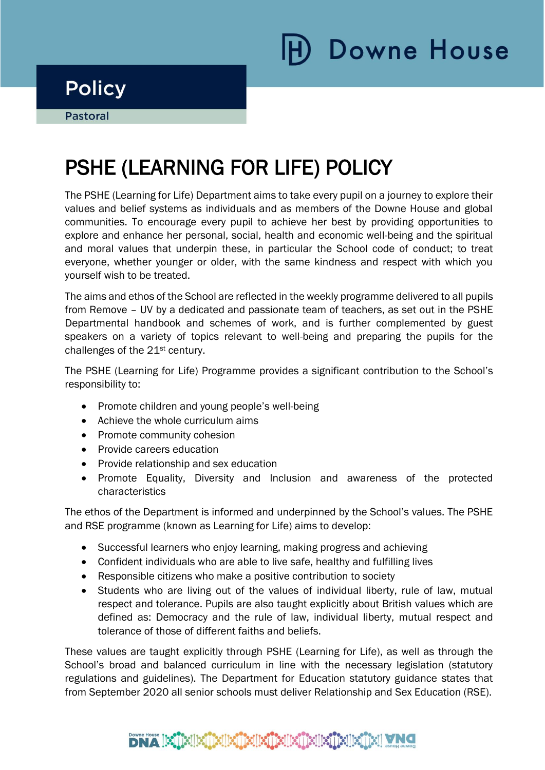## **Policy**

i

# PSHE (LEARNING FOR LIFE) POLICY

The PSHE (Learning for Life) Department aims to take every pupil on a journey to explore their values and belief systems as individuals and as members of the Downe House and global communities. To encourage every pupil to achieve her best by providing opportunities to explore and enhance her personal, social, health and economic well-being and the spiritual and moral values that underpin these, in particular the School code of conduct; to treat everyone, whether younger or older, with the same kindness and respect with which you yourself wish to be treated.

The aims and ethos of the School are reflected in the weekly programme delivered to all pupils from Remove – UV by a dedicated and passionate team of teachers, as set out in the PSHE Departmental handbook and schemes of work, and is further complemented by guest speakers on a variety of topics relevant to well-being and preparing the pupils for the challenges of the 21st century.

The PSHE (Learning for Life) Programme provides a significant contribution to the School's responsibility to:

- Promote children and young people's well-being
- Achieve the whole curriculum aims
- Promote community cohesion
- Provide careers education
- Provide relationship and sex education
- Promote Equality, Diversity and Inclusion and awareness of the protected characteristics

The ethos of the Department is informed and underpinned by the School's values. The PSHE and RSE programme (known as Learning for Life) aims to develop:

- Successful learners who enjoy learning, making progress and achieving
- Confident individuals who are able to live safe, healthy and fulfilling lives
- Responsible citizens who make a positive contribution to society
- Students who are living out of the values of individual liberty, rule of law, mutual respect and tolerance. Pupils are also taught explicitly about British values which are defined as: Democracy and the rule of law, individual liberty, mutual respect and tolerance of those of different faiths and beliefs.

These values are taught explicitly through PSHE (Learning for Life), as well as through the School's broad and balanced curriculum in line with the necessary legislation (statutory regulations and guidelines). The Department for Education statutory guidance states that from September 2020 all senior schools must deliver Relationship and Sex Education (RSE).

### $\textbf{DNA}$  [K]  $\textbf{N}$  [K]  $\textbf{N}$  [K]  $\textbf{N}$  [K]  $\textbf{N}$  [K]  $\textbf{N}$  [K]  $\textbf{N}$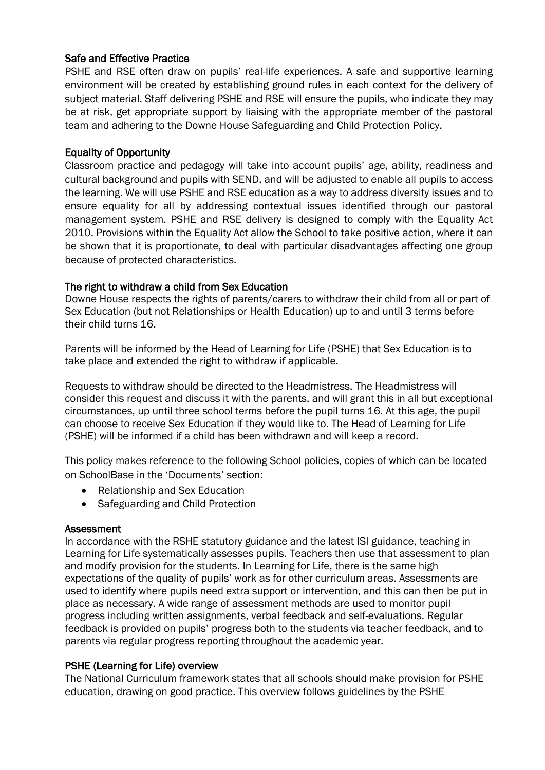#### Safe and Effective Practice

PSHE and RSE often draw on pupils' real-life experiences. A safe and supportive learning environment will be created by establishing ground rules in each context for the delivery of subject material. Staff delivering PSHE and RSE will ensure the pupils, who indicate they may be at risk, get appropriate support by liaising with the appropriate member of the pastoral team and adhering to the Downe House Safeguarding and Child Protection Policy.

#### Equality of Opportunity

Classroom practice and pedagogy will take into account pupils' age, ability, readiness and cultural background and pupils with SEND, and will be adjusted to enable all pupils to access the learning. We will use PSHE and RSE education as a way to address diversity issues and to ensure equality for all by addressing contextual issues identified through our pastoral management system. PSHE and RSE delivery is designed to comply with the Equality Act 2010. Provisions within the Equality Act allow the School to take positive action, where it can be shown that it is proportionate, to deal with particular disadvantages affecting one group because of protected characteristics.

#### The right to withdraw a child from Sex Education

Downe House respects the rights of parents/carers to withdraw their child from all or part of Sex Education (but not Relationships or Health Education) up to and until 3 terms before their child turns 16.

Parents will be informed by the Head of Learning for Life (PSHE) that Sex Education is to take place and extended the right to withdraw if applicable.

Requests to withdraw should be directed to the Headmistress. The Headmistress will consider this request and discuss it with the parents, and will grant this in all but exceptional circumstances, up until three school terms before the pupil turns 16. At this age, the pupil can choose to receive Sex Education if they would like to. The Head of Learning for Life (PSHE) will be informed if a child has been withdrawn and will keep a record.

This policy makes reference to the following School policies, copies of which can be located on SchoolBase in the 'Documents' section:

- Relationship and Sex Education
- Safeguarding and Child Protection

#### Assessment

In accordance with the RSHE statutory guidance and the latest ISI guidance, teaching in Learning for Life systematically assesses pupils. Teachers then use that assessment to plan and modify provision for the students. In Learning for Life, there is the same high expectations of the quality of pupils' work as for other curriculum areas. Assessments are used to identify where pupils need extra support or intervention, and this can then be put in place as necessary. A wide range of assessment methods are used to monitor pupil progress including written assignments, verbal feedback and self-evaluations. Regular feedback is provided on pupils' progress both to the students via teacher feedback, and to parents via regular progress reporting throughout the academic year.

#### PSHE (Learning for Life) overview

The National Curriculum framework states that all schools should make provision for PSHE education, drawing on good practice. This overview follows guidelines by the PSHE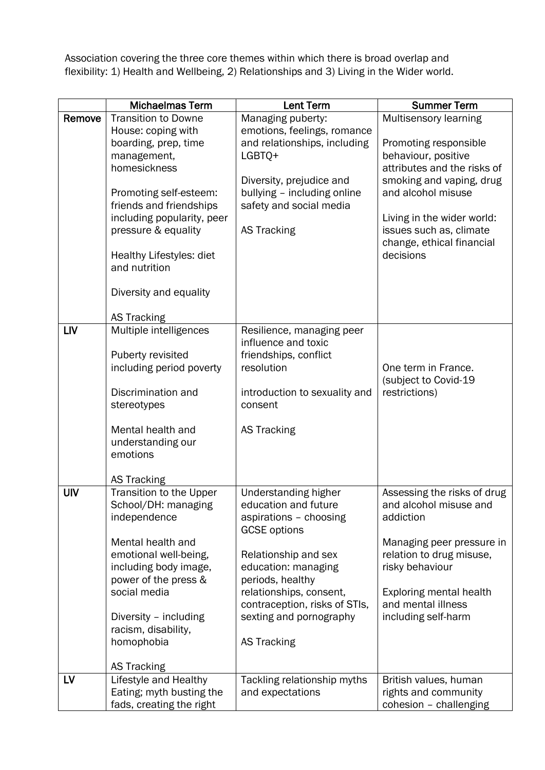Association covering the three core themes within which there is broad overlap and flexibility: 1) Health and Wellbeing, 2) Relationships and 3) Living in the Wider world.

|            | <b>Michaelmas Term</b>                        | <b>Lent Term</b>                              | <b>Summer Term</b>                             |
|------------|-----------------------------------------------|-----------------------------------------------|------------------------------------------------|
| Remove     | <b>Transition to Downe</b>                    | Managing puberty:                             | Multisensory learning                          |
|            | House: coping with                            | emotions, feelings, romance                   |                                                |
|            | boarding, prep, time                          | and relationships, including                  | Promoting responsible                          |
|            | management,                                   | LGBTQ+                                        | behaviour, positive                            |
|            | homesickness                                  | Diversity, prejudice and                      | attributes and the risks of                    |
|            | Promoting self-esteem:                        | bullying - including online                   | smoking and vaping, drug<br>and alcohol misuse |
|            | friends and friendships                       | safety and social media                       |                                                |
|            | including popularity, peer                    |                                               | Living in the wider world:                     |
|            | pressure & equality                           | <b>AS Tracking</b>                            | issues such as, climate                        |
|            |                                               |                                               | change, ethical financial                      |
|            | Healthy Lifestyles: diet                      |                                               | decisions                                      |
|            | and nutrition                                 |                                               |                                                |
|            | Diversity and equality                        |                                               |                                                |
|            |                                               |                                               |                                                |
|            | <b>AS Tracking</b>                            |                                               |                                                |
| <b>LIV</b> | Multiple intelligences                        | Resilience, managing peer                     |                                                |
|            |                                               | influence and toxic                           |                                                |
|            | Puberty revisited<br>including period poverty | friendships, conflict<br>resolution           | One term in France.                            |
|            |                                               |                                               | (subject to Covid-19                           |
|            | Discrimination and                            | introduction to sexuality and                 | restrictions)                                  |
|            | stereotypes                                   | consent                                       |                                                |
|            |                                               |                                               |                                                |
|            | Mental health and                             | <b>AS Tracking</b>                            |                                                |
|            | understanding our<br>emotions                 |                                               |                                                |
|            |                                               |                                               |                                                |
|            | <b>AS Tracking</b>                            |                                               |                                                |
| <b>UIV</b> | Transition to the Upper                       | Understanding higher                          | Assessing the risks of drug                    |
|            | School/DH: managing                           | education and future                          | and alcohol misuse and                         |
|            | independence                                  | aspirations - choosing<br><b>GCSE</b> options | addiction                                      |
|            | Mental health and                             |                                               | Managing peer pressure in                      |
|            | emotional well-being,                         | Relationship and sex                          | relation to drug misuse,                       |
|            | including body image,                         | education: managing                           | risky behaviour                                |
|            | power of the press &                          | periods, healthy                              |                                                |
|            | social media                                  | relationships, consent,                       | Exploring mental health                        |
|            |                                               | contraception, risks of STIs,                 | and mental illness                             |
|            | Diversity - including<br>racism, disability,  | sexting and pornography                       | including self-harm                            |
|            | homophobia                                    | <b>AS Tracking</b>                            |                                                |
|            |                                               |                                               |                                                |
|            | <b>AS Tracking</b>                            |                                               |                                                |
| LV         | Lifestyle and Healthy                         | Tackling relationship myths                   | British values, human                          |
|            | Eating; myth busting the                      | and expectations                              | rights and community                           |
|            | fads, creating the right                      |                                               | cohesion - challenging                         |